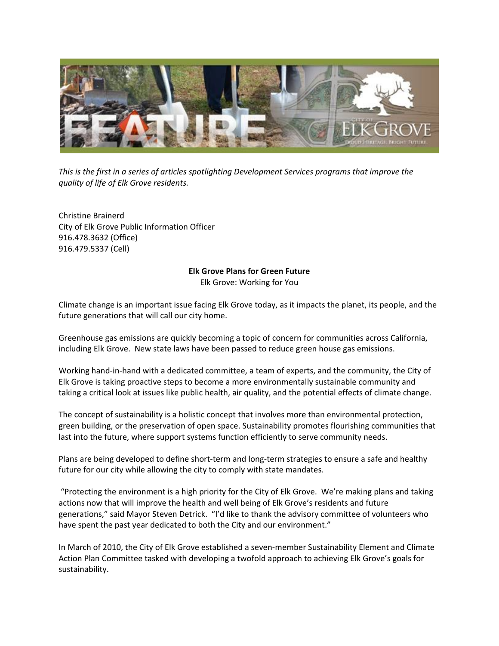

*This is the first in a series of articles spotlighting Development Services programs that improve the quality of life of Elk Grove residents.* 

Christine Brainerd City of Elk Grove Public Information Officer 916.478.3632 (Office) 916.479.5337 (Cell)

## **Elk Grove Plans for Green Future**

Elk Grove: Working for You

Climate change is an important issue facing Elk Grove today, as it impacts the planet, its people, and the future generations that will call our city home.

Greenhouse gas emissions are quickly becoming a topic of concern for communities across California, including Elk Grove. New state laws have been passed to reduce green house gas emissions.

Working hand-in-hand with a dedicated committee, a team of experts, and the community, the City of Elk Grove is taking proactive steps to become a more environmentally sustainable community and taking a critical look at issues like public health, air quality, and the potential effects of climate change.

The concept of sustainability is a holistic concept that involves more than environmental protection, green building, or the preservation of open space. Sustainability promotes flourishing communities that last into the future, where support systems function efficiently to serve community needs.

Plans are being developed to define short-term and long-term strategies to ensure a safe and healthy future for our city while allowing the city to comply with state mandates.

 "Protecting the environment is a high priority for the City of Elk Grove. We're making plans and taking actions now that will improve the health and well being of Elk Grove's residents and future generations," said Mayor Steven Detrick. "I'd like to thank the advisory committee of volunteers who have spent the past year dedicated to both the City and our environment."

In March of 2010, the City of Elk Grove established a seven-member Sustainability Element and Climate Action Plan Committee tasked with developing a twofold approach to achieving Elk Grove's goals for sustainability.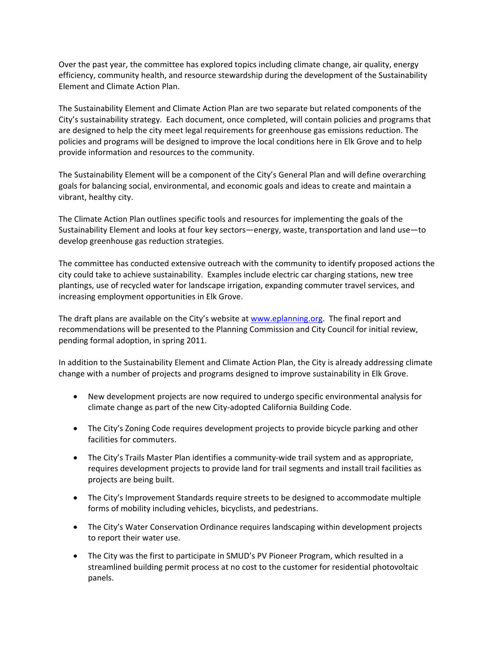Over the past year, the committee has explored topics including climate change, air quality, energy efficiency, community health, and resource stewardship during the development of the Sustainability Element and Climate Action Plan.

The Sustainability Element and Climate Action Plan are two separate but related components of the City's sustainability strategy. Each document, once completed, will contain policies and programs that are designed to help the city meet legal requirements for greenhouse gas emissions reduction. The policies and programs will be designed to improve the local conditions here in Elk Grove and to help provide information and resources to the community.

The Sustainability Element will be a component of the City's General Plan and will define overarching goals for balancing social, environmental, and economic goals and ideas to create and maintain a vibrant, healthy city.

The Climate Action Plan outlines specific tools and resources for implementing the goals of the Sustainability Element and looks at four key sectors—energy, waste, transportation and land use—to develop greenhouse gas reduction strategies.

The committee has conducted extensive outreach with the community to identify proposed actions the city could take to achieve sustainability. Examples include electric car charging stations, new tree plantings, use of recycled water for landscape irrigation, expanding commuter travel services, and increasing employment opportunities in Elk Grove.

The draft plans are available on the City's website at www.eplanning.org. The final report and recommendations will be presented to the Planning Commission and City Council for initial review, pending formal adoption, in spring 2011.

In addition to the Sustainability Element and Climate Action Plan, the City is already addressing climate change with a number of projects and programs designed to improve sustainability in Elk Grove.

- New development projects are now required to undergo specific environmental analysis for climate change as part of the new City-adopted California Building Code.
- The City's Zoning Code requires development projects to provide bicycle parking and other facilities for commuters.
- The City's Trails Master Plan identifies a community-wide trail system and as appropriate, requires development projects to provide land for trail segments and install trail facilities as projects are being built.
- The City's Improvement Standards require streets to be designed to accommodate multiple forms of mobility including vehicles, bicyclists, and pedestrians.
- The City's Water Conservation Ordinance requires landscaping within development projects to report their water use.
- The City was the first to participate in SMUD's PV Pioneer Program, which resulted in a streamlined building permit process at no cost to the customer for residential photovoltaic panels.